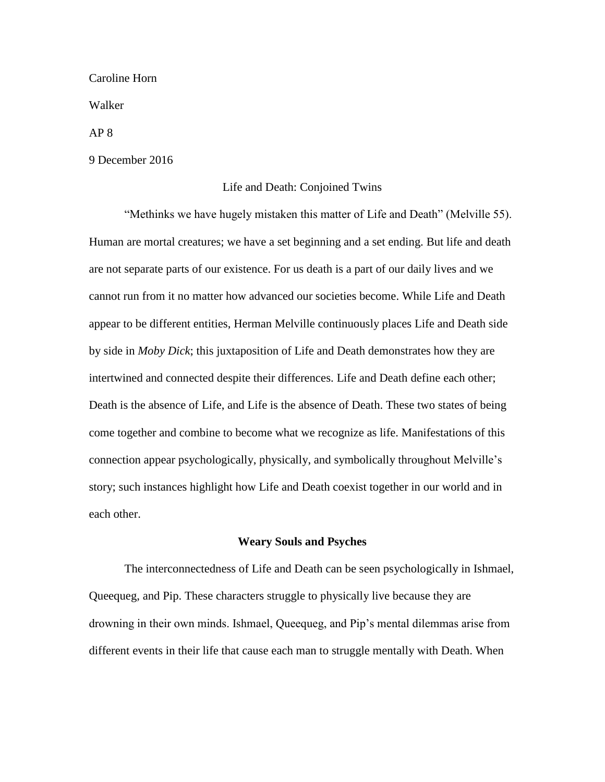Caroline Horn

Walker

AP 8

9 December 2016

## Life and Death: Conjoined Twins

"Methinks we have hugely mistaken this matter of Life and Death" (Melville 55). Human are mortal creatures; we have a set beginning and a set ending. But life and death are not separate parts of our existence. For us death is a part of our daily lives and we cannot run from it no matter how advanced our societies become. While Life and Death appear to be different entities, Herman Melville continuously places Life and Death side by side in *Moby Dick*; this juxtaposition of Life and Death demonstrates how they are intertwined and connected despite their differences. Life and Death define each other; Death is the absence of Life, and Life is the absence of Death. These two states of being come together and combine to become what we recognize as life. Manifestations of this connection appear psychologically, physically, and symbolically throughout Melville's story; such instances highlight how Life and Death coexist together in our world and in each other.

### **Weary Souls and Psyches**

The interconnectedness of Life and Death can be seen psychologically in Ishmael, Queequeg, and Pip. These characters struggle to physically live because they are drowning in their own minds. Ishmael, Queequeg, and Pip's mental dilemmas arise from different events in their life that cause each man to struggle mentally with Death. When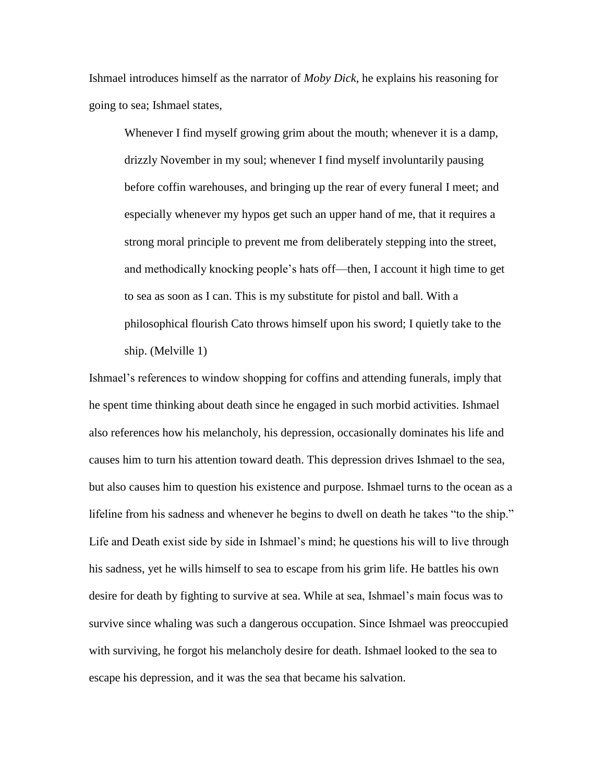Ishmael introduces himself as the narrator of *Moby Dick*, he explains his reasoning for going to sea; Ishmael states,

Whenever I find myself growing grim about the mouth; whenever it is a damp, drizzly November in my soul; whenever I find myself involuntarily pausing before coffin warehouses, and bringing up the rear of every funeral I meet; and especially whenever my hypos get such an upper hand of me, that it requires a strong moral principle to prevent me from deliberately stepping into the street, and methodically knocking people's hats off—then, I account it high time to get to sea as soon as I can. This is my substitute for pistol and ball. With a philosophical flourish Cato throws himself upon his sword; I quietly take to the ship. (Melville 1)

Ishmael's references to window shopping for coffins and attending funerals, imply that he spent time thinking about death since he engaged in such morbid activities. Ishmael also references how his melancholy, his depression, occasionally dominates his life and causes him to turn his attention toward death. This depression drives Ishmael to the sea, but also causes him to question his existence and purpose. Ishmael turns to the ocean as a lifeline from his sadness and whenever he begins to dwell on death he takes "to the ship." Life and Death exist side by side in Ishmael's mind; he questions his will to live through his sadness, yet he wills himself to sea to escape from his grim life. He battles his own desire for death by fighting to survive at sea. While at sea, Ishmael's main focus was to survive since whaling was such a dangerous occupation. Since Ishmael was preoccupied with surviving, he forgot his melancholy desire for death. Ishmael looked to the sea to escape his depression, and it was the sea that became his salvation.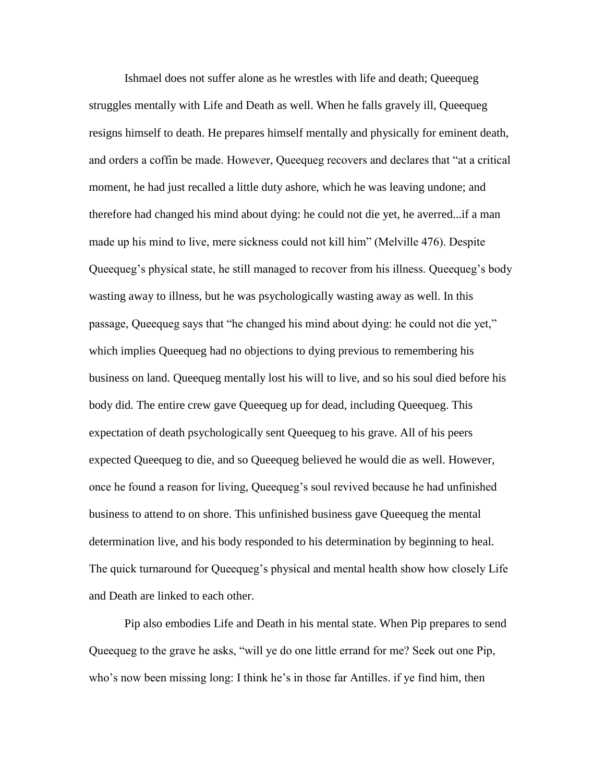Ishmael does not suffer alone as he wrestles with life and death; Queequeg struggles mentally with Life and Death as well. When he falls gravely ill, Queequeg resigns himself to death. He prepares himself mentally and physically for eminent death, and orders a coffin be made. However, Queequeg recovers and declares that "at a critical moment, he had just recalled a little duty ashore, which he was leaving undone; and therefore had changed his mind about dying: he could not die yet, he averred...if a man made up his mind to live, mere sickness could not kill him" (Melville 476). Despite Queequeg's physical state, he still managed to recover from his illness. Queequeg's body wasting away to illness, but he was psychologically wasting away as well. In this passage, Queequeg says that "he changed his mind about dying: he could not die yet," which implies Queequeg had no objections to dying previous to remembering his business on land. Queequeg mentally lost his will to live, and so his soul died before his body did. The entire crew gave Queequeg up for dead, including Queequeg. This expectation of death psychologically sent Queequeg to his grave. All of his peers expected Queequeg to die, and so Queequeg believed he would die as well. However, once he found a reason for living, Queequeg's soul revived because he had unfinished business to attend to on shore. This unfinished business gave Queequeg the mental determination live, and his body responded to his determination by beginning to heal. The quick turnaround for Queequeg's physical and mental health show how closely Life and Death are linked to each other.

Pip also embodies Life and Death in his mental state. When Pip prepares to send Queequeg to the grave he asks, "will ye do one little errand for me? Seek out one Pip, who's now been missing long: I think he's in those far Antilles. if ye find him, then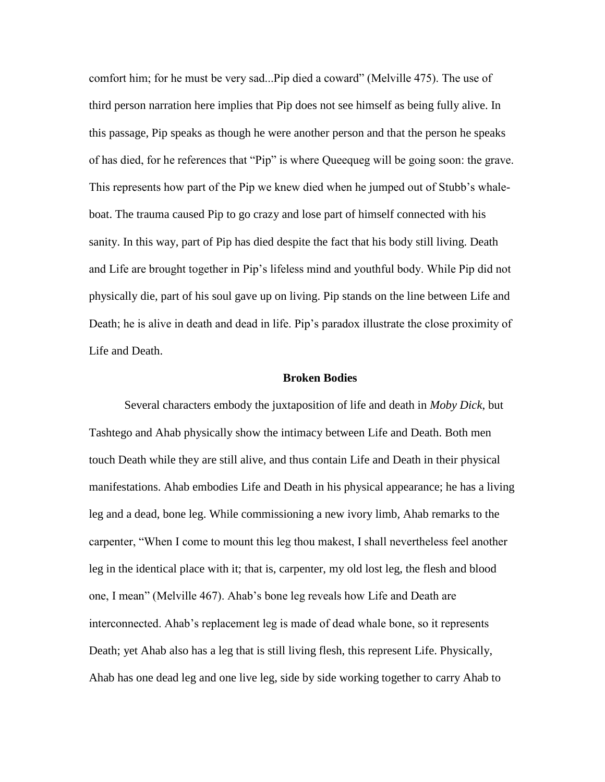comfort him; for he must be very sad...Pip died a coward" (Melville 475). The use of third person narration here implies that Pip does not see himself as being fully alive. In this passage, Pip speaks as though he were another person and that the person he speaks of has died, for he references that "Pip" is where Queequeg will be going soon: the grave. This represents how part of the Pip we knew died when he jumped out of Stubb's whaleboat. The trauma caused Pip to go crazy and lose part of himself connected with his sanity. In this way, part of Pip has died despite the fact that his body still living. Death and Life are brought together in Pip's lifeless mind and youthful body. While Pip did not physically die, part of his soul gave up on living. Pip stands on the line between Life and Death; he is alive in death and dead in life. Pip's paradox illustrate the close proximity of Life and Death.

#### **Broken Bodies**

Several characters embody the juxtaposition of life and death in *Moby Dick*, but Tashtego and Ahab physically show the intimacy between Life and Death. Both men touch Death while they are still alive, and thus contain Life and Death in their physical manifestations. Ahab embodies Life and Death in his physical appearance; he has a living leg and a dead, bone leg. While commissioning a new ivory limb, Ahab remarks to the carpenter, "When I come to mount this leg thou makest, I shall nevertheless feel another leg in the identical place with it; that is, carpenter, my old lost leg, the flesh and blood one, I mean" (Melville 467). Ahab's bone leg reveals how Life and Death are interconnected. Ahab's replacement leg is made of dead whale bone, so it represents Death; yet Ahab also has a leg that is still living flesh, this represent Life. Physically, Ahab has one dead leg and one live leg, side by side working together to carry Ahab to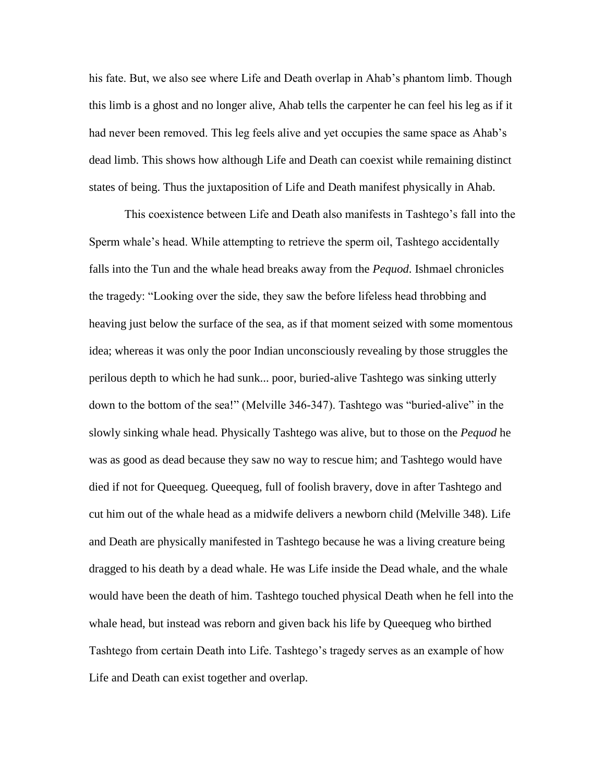his fate. But, we also see where Life and Death overlap in Ahab's phantom limb. Though this limb is a ghost and no longer alive, Ahab tells the carpenter he can feel his leg as if it had never been removed. This leg feels alive and yet occupies the same space as Ahab's dead limb. This shows how although Life and Death can coexist while remaining distinct states of being. Thus the juxtaposition of Life and Death manifest physically in Ahab.

This coexistence between Life and Death also manifests in Tashtego's fall into the Sperm whale's head. While attempting to retrieve the sperm oil, Tashtego accidentally falls into the Tun and the whale head breaks away from the *Pequod*. Ishmael chronicles the tragedy: "Looking over the side, they saw the before lifeless head throbbing and heaving just below the surface of the sea, as if that moment seized with some momentous idea; whereas it was only the poor Indian unconsciously revealing by those struggles the perilous depth to which he had sunk... poor, buried-alive Tashtego was sinking utterly down to the bottom of the sea!" (Melville 346-347). Tashtego was "buried-alive" in the slowly sinking whale head. Physically Tashtego was alive, but to those on the *Pequod* he was as good as dead because they saw no way to rescue him; and Tashtego would have died if not for Queequeg. Queequeg, full of foolish bravery, dove in after Tashtego and cut him out of the whale head as a midwife delivers a newborn child (Melville 348). Life and Death are physically manifested in Tashtego because he was a living creature being dragged to his death by a dead whale. He was Life inside the Dead whale, and the whale would have been the death of him. Tashtego touched physical Death when he fell into the whale head, but instead was reborn and given back his life by Queequeg who birthed Tashtego from certain Death into Life. Tashtego's tragedy serves as an example of how Life and Death can exist together and overlap.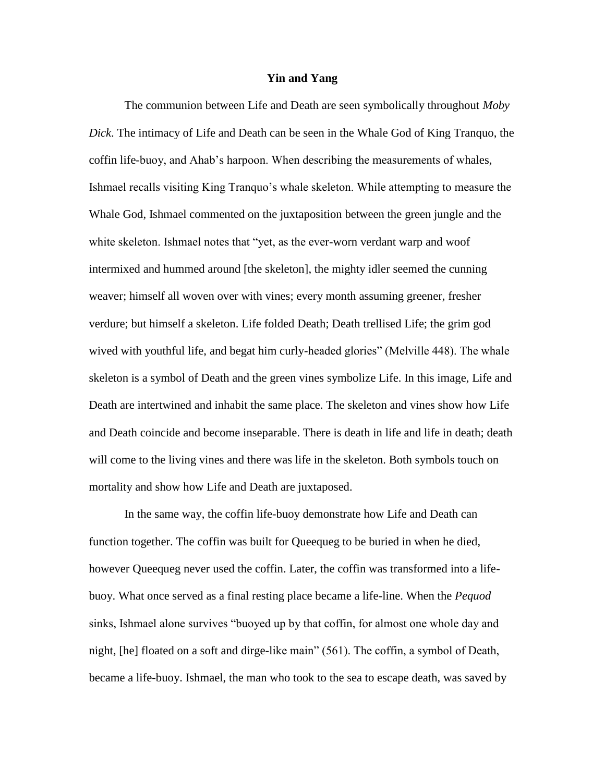#### **Yin and Yang**

The communion between Life and Death are seen symbolically throughout *Moby Dick*. The intimacy of Life and Death can be seen in the Whale God of King Tranquo, the coffin life-buoy, and Ahab's harpoon. When describing the measurements of whales, Ishmael recalls visiting King Tranquo's whale skeleton. While attempting to measure the Whale God, Ishmael commented on the juxtaposition between the green jungle and the white skeleton. Ishmael notes that "yet, as the ever-worn verdant warp and woof intermixed and hummed around [the skeleton], the mighty idler seemed the cunning weaver; himself all woven over with vines; every month assuming greener, fresher verdure; but himself a skeleton. Life folded Death; Death trellised Life; the grim god wived with youthful life, and begat him curly-headed glories" (Melville 448). The whale skeleton is a symbol of Death and the green vines symbolize Life. In this image, Life and Death are intertwined and inhabit the same place. The skeleton and vines show how Life and Death coincide and become inseparable. There is death in life and life in death; death will come to the living vines and there was life in the skeleton. Both symbols touch on mortality and show how Life and Death are juxtaposed.

In the same way, the coffin life-buoy demonstrate how Life and Death can function together. The coffin was built for Queequeg to be buried in when he died, however Queequeg never used the coffin. Later, the coffin was transformed into a lifebuoy. What once served as a final resting place became a life-line. When the *Pequod* sinks, Ishmael alone survives "buoyed up by that coffin, for almost one whole day and night, [he] floated on a soft and dirge-like main" (561). The coffin, a symbol of Death, became a life-buoy. Ishmael, the man who took to the sea to escape death, was saved by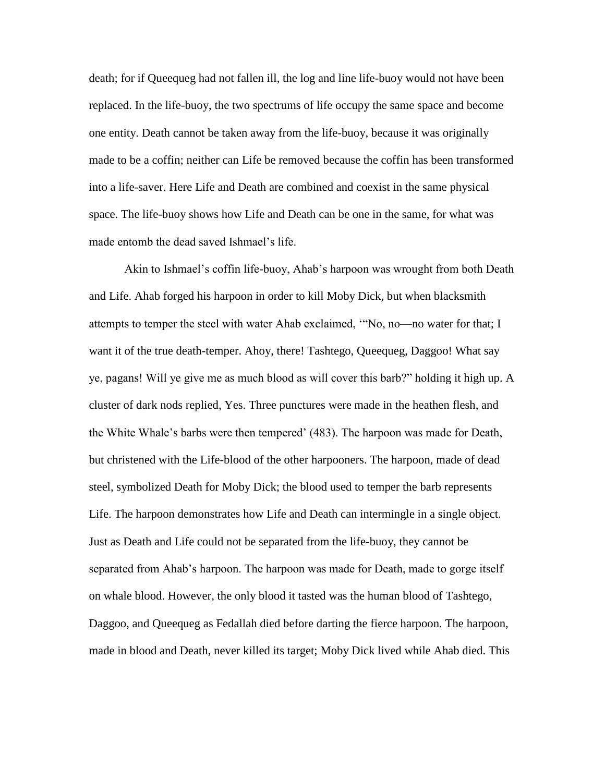death; for if Queequeg had not fallen ill, the log and line life-buoy would not have been replaced. In the life-buoy, the two spectrums of life occupy the same space and become one entity. Death cannot be taken away from the life-buoy, because it was originally made to be a coffin; neither can Life be removed because the coffin has been transformed into a life-saver. Here Life and Death are combined and coexist in the same physical space. The life-buoy shows how Life and Death can be one in the same, for what was made entomb the dead saved Ishmael's life.

Akin to Ishmael's coffin life-buoy, Ahab's harpoon was wrought from both Death and Life. Ahab forged his harpoon in order to kill Moby Dick, but when blacksmith attempts to temper the steel with water Ahab exclaimed, '"No, no—no water for that; I want it of the true death-temper. Ahoy, there! Tashtego, Queequeg, Daggoo! What say ye, pagans! Will ye give me as much blood as will cover this barb?" holding it high up. A cluster of dark nods replied, Yes. Three punctures were made in the heathen flesh, and the White Whale's barbs were then tempered' (483). The harpoon was made for Death, but christened with the Life-blood of the other harpooners. The harpoon, made of dead steel, symbolized Death for Moby Dick; the blood used to temper the barb represents Life. The harpoon demonstrates how Life and Death can intermingle in a single object. Just as Death and Life could not be separated from the life-buoy, they cannot be separated from Ahab's harpoon. The harpoon was made for Death, made to gorge itself on whale blood. However, the only blood it tasted was the human blood of Tashtego, Daggoo, and Queequeg as Fedallah died before darting the fierce harpoon. The harpoon, made in blood and Death, never killed its target; Moby Dick lived while Ahab died. This